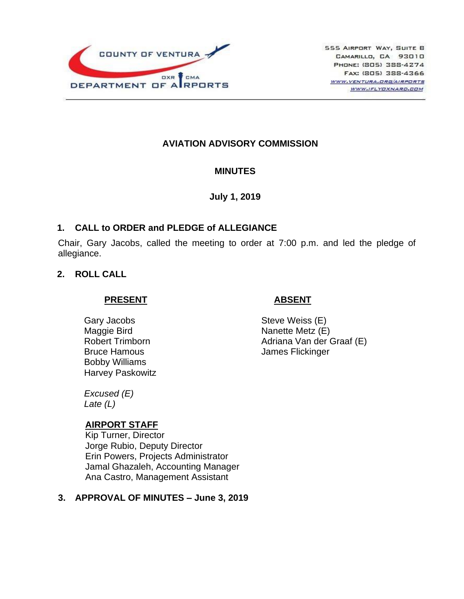

## **AVIATION ADVISORY COMMISSION**

#### **MINUTES**

**July 1, 2019**

## **1. CALL to ORDER and PLEDGE of ALLEGIANCE**

Chair, Gary Jacobs, called the meeting to order at 7:00 p.m. and led the pledge of allegiance.

## **2. ROLL CALL**

#### **PRESENT**

Gary Jacobs Maggie Bird Robert Trimborn Bruce Hamous Bobby Williams Harvey Paskowitz

*Excused (E)*

*Late (L)*

## **AIRPORT STAFF**

Kip Turner, Director Jorge Rubio, Deputy Director Erin Powers, Projects Administrator Jamal Ghazaleh, Accounting Manager Ana Castro, Management Assistant

## **3. APPROVAL OF MINUTES – June 3, 2019**

## **ABSENT**

Steve Weiss (E) Nanette Metz (E) Adriana Van der Graaf (E) James Flickinger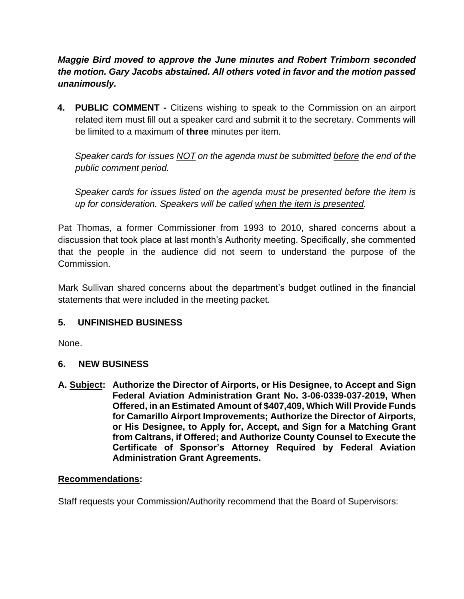*Maggie Bird moved to approve the June minutes and Robert Trimborn seconded the motion. Gary Jacobs abstained. All others voted in favor and the motion passed unanimously.*

**4. PUBLIC COMMENT -** Citizens wishing to speak to the Commission on an airport related item must fill out a speaker card and submit it to the secretary. Comments will be limited to a maximum of **three** minutes per item.

*Speaker cards for issues NOT on the agenda must be submitted before the end of the public comment period.* 

*Speaker cards for issues listed on the agenda must be presented before the item is up for consideration. Speakers will be called when the item is presented.*

Pat Thomas, a former Commissioner from 1993 to 2010, shared concerns about a discussion that took place at last month's Authority meeting. Specifically, she commented that the people in the audience did not seem to understand the purpose of the Commission.

Mark Sullivan shared concerns about the department's budget outlined in the financial statements that were included in the meeting packet.

## **5. UNFINISHED BUSINESS**

None.

## **6. NEW BUSINESS**

**A. Subject: Authorize the Director of Airports, or His Designee, to Accept and Sign Federal Aviation Administration Grant No. 3-06-0339-037-2019, When Offered, in an Estimated Amount of \$407,409, Which Will Provide Funds for Camarillo Airport Improvements; Authorize the Director of Airports, or His Designee, to Apply for, Accept, and Sign for a Matching Grant from Caltrans, if Offered; and Authorize County Counsel to Execute the Certificate of Sponsor's Attorney Required by Federal Aviation Administration Grant Agreements.**

## **Recommendations:**

Staff requests your Commission/Authority recommend that the Board of Supervisors: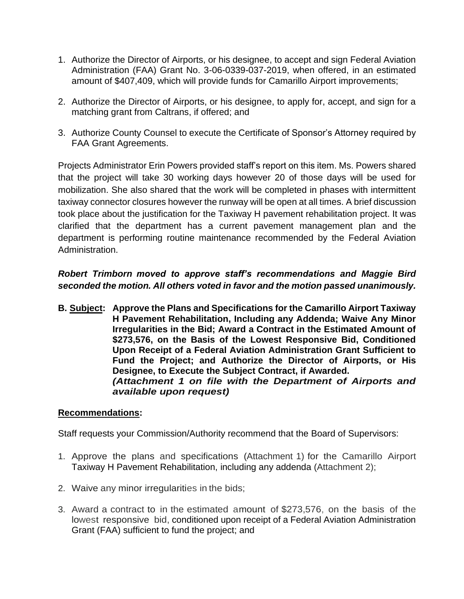- 1. Authorize the Director of Airports, or his designee, to accept and sign Federal Aviation Administration (FAA) Grant No. 3-06-0339-037-2019, when offered, in an estimated amount of \$407,409, which will provide funds for Camarillo Airport improvements;
- 2. Authorize the Director of Airports, or his designee, to apply for, accept, and sign for a matching grant from Caltrans, if offered; and
- 3. Authorize County Counsel to execute the Certificate of Sponsor's Attorney required by FAA Grant Agreements.

Projects Administrator Erin Powers provided staff's report on this item. Ms. Powers shared that the project will take 30 working days however 20 of those days will be used for mobilization. She also shared that the work will be completed in phases with intermittent taxiway connector closures however the runway will be open at all times. A brief discussion took place about the justification for the Taxiway H pavement rehabilitation project. It was clarified that the department has a current pavement management plan and the department is performing routine maintenance recommended by the Federal Aviation Administration.

# *Robert Trimborn moved to approve staff's recommendations and Maggie Bird seconded the motion. All others voted in favor and the motion passed unanimously.*

**B. Subject: Approve the Plans and Specifications for the Camarillo Airport Taxiway H Pavement Rehabilitation, Including any Addenda; Waive Any Minor Irregularities in the Bid; Award a Contract in the Estimated Amount of \$273,576, on the Basis of the Lowest Responsive Bid, Conditioned Upon Receipt of a Federal Aviation Administration Grant Sufficient to Fund the Project; and Authorize the Director of Airports, or His Designee, to Execute the Subject Contract, if Awarded.** *(Attachment 1 on file with the Department of Airports and available upon request)*

#### **Recommendations:**

Staff requests your Commission/Authority recommend that the Board of Supervisors:

- 1. Approve the plans and specifications (Attachment 1) for the Camarillo Airport Taxiway H Pavement Rehabilitation, including any addenda (Attachment 2);
- 2. Waive any minor irregularities in the bids;
- 3. Award a contract to in the estimated amount of \$273,576, on the basis of the lowest responsive bid, conditioned upon receipt of a Federal Aviation Administration Grant (FAA) sufficient to fund the project; and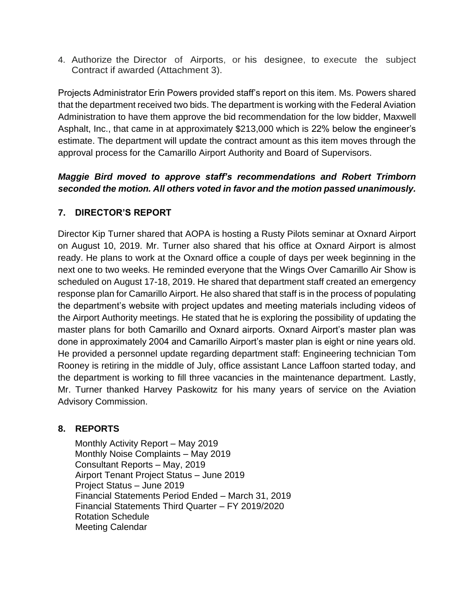4. Authorize the Director of Airports, or his designee, to execute the subject Contract if awarded (Attachment 3).

Projects Administrator Erin Powers provided staff's report on this item. Ms. Powers shared that the department received two bids. The department is working with the Federal Aviation Administration to have them approve the bid recommendation for the low bidder, Maxwell Asphalt, Inc., that came in at approximately \$213,000 which is 22% below the engineer's estimate. The department will update the contract amount as this item moves through the approval process for the Camarillo Airport Authority and Board of Supervisors.

## *Maggie Bird moved to approve staff's recommendations and Robert Trimborn seconded the motion. All others voted in favor and the motion passed unanimously.*

## **7. DIRECTOR'S REPORT**

Director Kip Turner shared that AOPA is hosting a Rusty Pilots seminar at Oxnard Airport on August 10, 2019. Mr. Turner also shared that his office at Oxnard Airport is almost ready. He plans to work at the Oxnard office a couple of days per week beginning in the next one to two weeks. He reminded everyone that the Wings Over Camarillo Air Show is scheduled on August 17-18, 2019. He shared that department staff created an emergency response plan for Camarillo Airport. He also shared that staff is in the process of populating the department's website with project updates and meeting materials including videos of the Airport Authority meetings. He stated that he is exploring the possibility of updating the master plans for both Camarillo and Oxnard airports. Oxnard Airport's master plan was done in approximately 2004 and Camarillo Airport's master plan is eight or nine years old. He provided a personnel update regarding department staff: Engineering technician Tom Rooney is retiring in the middle of July, office assistant Lance Laffoon started today, and the department is working to fill three vacancies in the maintenance department. Lastly, Mr. Turner thanked Harvey Paskowitz for his many years of service on the Aviation Advisory Commission.

## **8. REPORTS**

Monthly Activity Report – May 2019 Monthly Noise Complaints – May 2019 Consultant Reports – May, 2019 Airport Tenant Project Status – June 2019 Project Status – June 2019 Financial Statements Period Ended – March 31, 2019 Financial Statements Third Quarter – FY 2019/2020 Rotation Schedule Meeting Calendar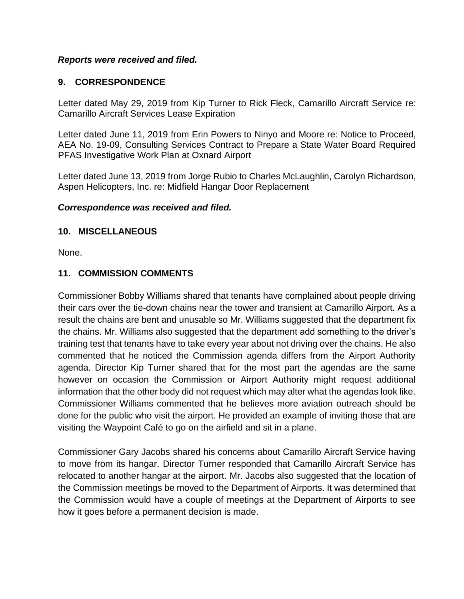#### *Reports were received and filed.*

## **9. CORRESPONDENCE**

Letter dated May 29, 2019 from Kip Turner to Rick Fleck, Camarillo Aircraft Service re: Camarillo Aircraft Services Lease Expiration

Letter dated June 11, 2019 from Erin Powers to Ninyo and Moore re: Notice to Proceed, AEA No. 19-09, Consulting Services Contract to Prepare a State Water Board Required PFAS Investigative Work Plan at Oxnard Airport

Letter dated June 13, 2019 from Jorge Rubio to Charles McLaughlin, Carolyn Richardson, Aspen Helicopters, Inc. re: Midfield Hangar Door Replacement

#### *Correspondence was received and filed.*

#### **10. MISCELLANEOUS**

None.

#### **11. COMMISSION COMMENTS**

Commissioner Bobby Williams shared that tenants have complained about people driving their cars over the tie-down chains near the tower and transient at Camarillo Airport. As a result the chains are bent and unusable so Mr. Williams suggested that the department fix the chains. Mr. Williams also suggested that the department add something to the driver's training test that tenants have to take every year about not driving over the chains. He also commented that he noticed the Commission agenda differs from the Airport Authority agenda. Director Kip Turner shared that for the most part the agendas are the same however on occasion the Commission or Airport Authority might request additional information that the other body did not request which may alter what the agendas look like. Commissioner Williams commented that he believes more aviation outreach should be done for the public who visit the airport. He provided an example of inviting those that are visiting the Waypoint Café to go on the airfield and sit in a plane.

Commissioner Gary Jacobs shared his concerns about Camarillo Aircraft Service having to move from its hangar. Director Turner responded that Camarillo Aircraft Service has relocated to another hangar at the airport. Mr. Jacobs also suggested that the location of the Commission meetings be moved to the Department of Airports. It was determined that the Commission would have a couple of meetings at the Department of Airports to see how it goes before a permanent decision is made.